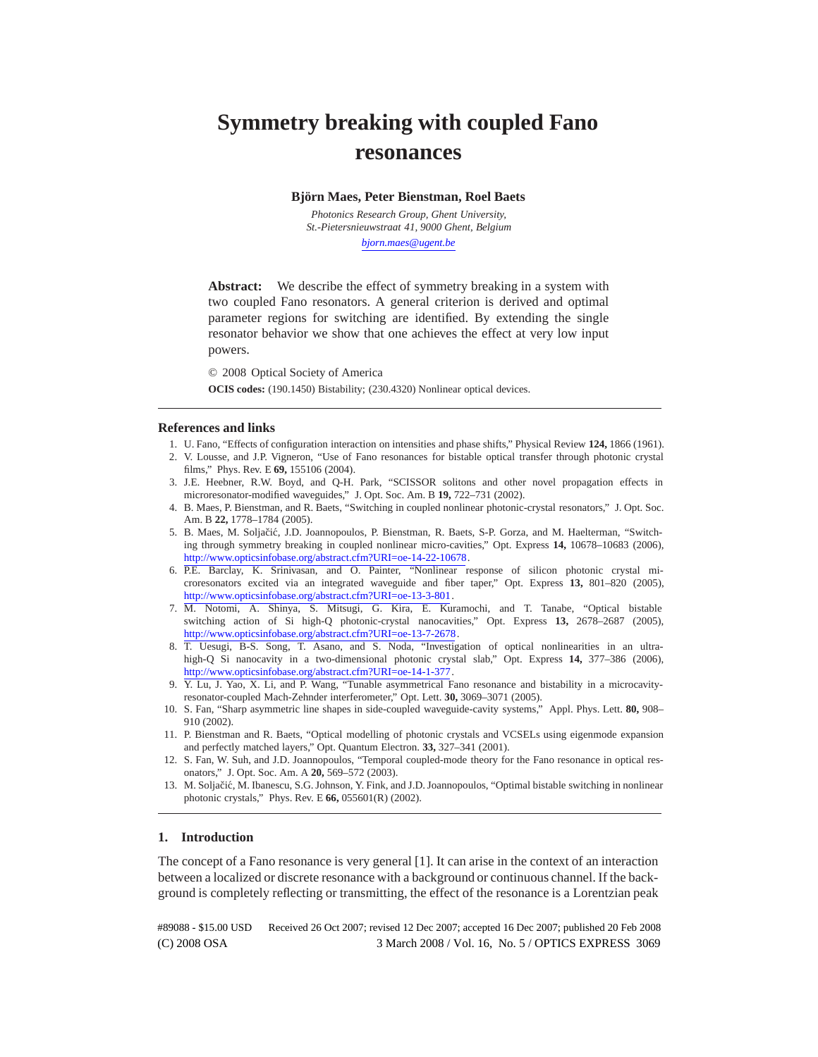# **Symmetry breaking with coupled Fano resonances**

# **Bjorn Maes, Peter Bienstman, Roel Baets ¨**

*Photonics Research Group, Ghent University, St.-Pietersnieuwstraat 41, 9000 Ghent, Belgium bjorn.maes@ugent.be*

**Abstract:** We describe the effect of symmetry breaking in a system with two coupled Fano resonators. A general criterion is derived and optimal parameter regions for switching are identified. By extending the single resonator behavior we show that one achieves the effect at very low input powers.

© 2008 Optical Society of America **OCIS codes:** (190.1450) Bistability; (230.4320) Nonlinear optical devices.

#### **References and links**

- 1. U. Fano, "Effects of configuration interaction on intensities and phase shifts," Physical Review **124,** 1866 (1961).
- 2. V. Lousse, and J.P. Vigneron, "Use of Fano resonances for bistable optical transfer through photonic crystal films," Phys. Rev. E **69,** 155106 (2004).
- 3. J.E. Heebner, R.W. Boyd, and Q-H. Park, "SCISSOR solitons and other novel propagation effects in microresonator-modified waveguides," J. Opt. Soc. Am. B **19,** 722–731 (2002).
- 4. B. Maes, P. Bienstman, and R. Baets, "Switching in coupled nonlinear photonic-crystal resonators," J. Opt. Soc. Am. B **22,** 1778–1784 (2005).
- 5. B. Maes, M. Soljačić, J.D. Joannopoulos, P. Bienstman, R. Baets, S-P. Gorza, and M. Haelterman, "Switching through symmetry breaking in coupled nonlinear micro-cavities," Opt. Express **14,** 10678–10683 (2006), http://www.opticsinfobase.org/abstract.cfm?URI=oe-14-22-10678.
- 6. P.E. Barclay, K. Srinivasan, and O. Painter, "Nonlinear response of silicon photonic crystal microresonators excited via an integrated waveguide and fiber taper," Opt. Express **13,** 801–820 (2005), http://www.opticsinfobase.org/abstract.cfm?URI=oe-13-3-801.
- 7. M. Notomi, A. Shinya, S. Mitsugi, G. Kira, E. Kuramochi, and T. Tanabe, "Optical bistable switching action of Si high-Q photonic-crystal nanocavities," Opt. Express **13,** 2678–2687 (2005), http://www.opticsinfobase.org/abstract.cfm?URI=oe-13-7-2678.
- 8. T. Uesugi, B-S. Song, T. Asano, and S. Noda, "Investigation of optical nonlinearities in an ultrahigh-Q Si nanocavity in a two-dimensional photonic crystal slab," Opt. Express **14,** 377–386 (2006), http://www.opticsinfobase.org/abstract.cfm?URI=oe-14-1-377.
- 9. Y. Lu, J. Yao, X. Li, and P. Wang, "Tunable asymmetrical Fano resonance and bistability in a microcavityresonator-coupled Mach-Zehnder interferometer," Opt. Lett. **30,** 3069–3071 (2005).
- 10. S. Fan, "Sharp asymmetric line shapes in side-coupled waveguide-cavity systems," Appl. Phys. Lett. **80,** 908– 910 (2002).
- 11. P. Bienstman and R. Baets, "Optical modelling of photonic crystals and VCSELs using eigenmode expansion and perfectly matched layers," Opt. Quantum Electron. **33,** 327–341 (2001).
- 12. S. Fan, W. Suh, and J.D. Joannopoulos, "Temporal coupled-mode theory for the Fano resonance in optical resonators," J. Opt. Soc. Am. A **20,** 569–572 (2003).
- 13. M. Soljačić, M. Ibanescu, S.G. Johnson, Y. Fink, and J.D. Joannopoulos, "Optimal bistable switching in nonlinear photonic crystals," Phys. Rev. E **66,** 055601(R) (2002).

# **1. Introduction**

The concept of a Fano resonance is very general [1]. It can arise in the context of an interaction between a localized or discrete resonance with a background or continuous channel. If the background is completely reflecting or transmitting, the effect of the resonance is a Lorentzian peak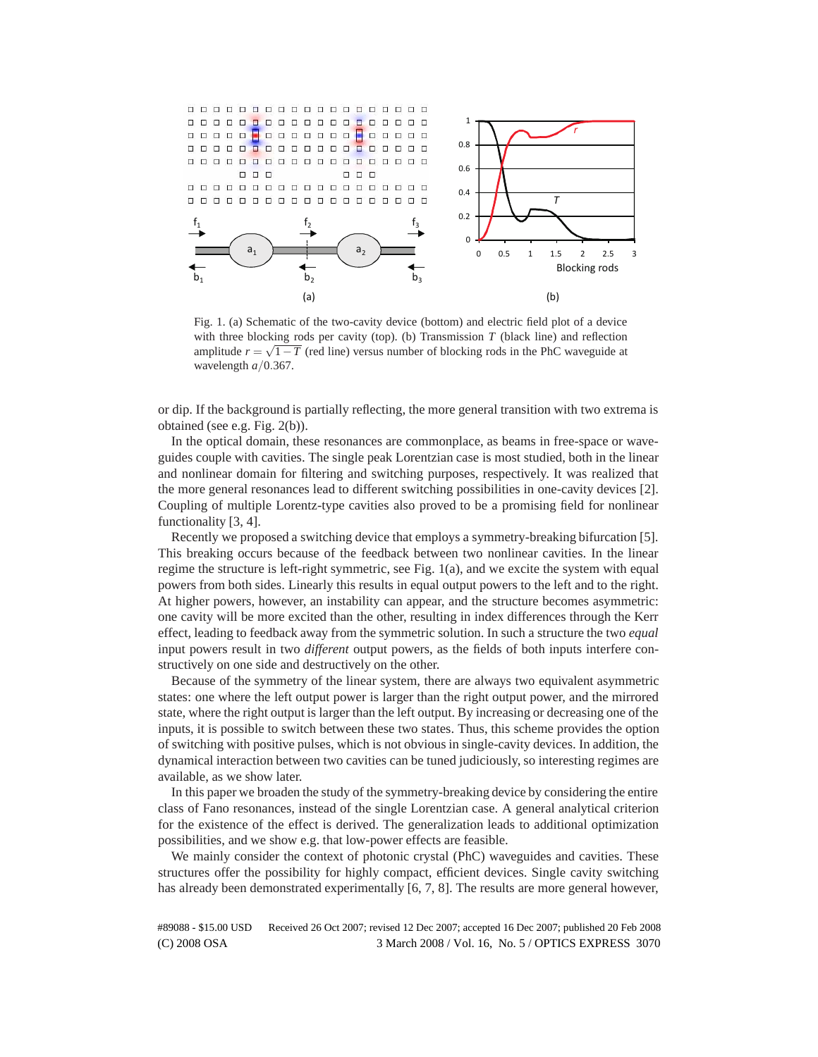

Fig. 1. (a) Schematic of the two-cavity device (bottom) and electric field plot of a device with three blocking rods per cavity (top). (b) Transmission *T* (black line) and reflection amplitude  $r = \sqrt{1 - T}$  (red line) versus number of blocking rods in the PhC waveguide at wavelength *a/*0*.*367.

or dip. If the background is partially reflecting, the more general transition with two extrema is obtained (see e.g. Fig. 2(b)).

In the optical domain, these resonances are commonplace, as beams in free-space or waveguides couple with cavities. The single peak Lorentzian case is most studied, both in the linear and nonlinear domain for filtering and switching purposes, respectively. It was realized that the more general resonances lead to different switching possibilities in one-cavity devices [2]. Coupling of multiple Lorentz-type cavities also proved to be a promising field for nonlinear functionality [3, 4].

Recently we proposed a switching device that employs a symmetry-breaking bifurcation [5]. This breaking occurs because of the feedback between two nonlinear cavities. In the linear regime the structure is left-right symmetric, see Fig. 1(a), and we excite the system with equal powers from both sides. Linearly this results in equal output powers to the left and to the right. At higher powers, however, an instability can appear, and the structure becomes asymmetric: one cavity will be more excited than the other, resulting in index differences through the Kerr effect, leading to feedback away from the symmetric solution. In such a structure the two *equal* input powers result in two *different* output powers, as the fields of both inputs interfere constructively on one side and destructively on the other.

Because of the symmetry of the linear system, there are always two equivalent asymmetric states: one where the left output power is larger than the right output power, and the mirrored state, where the right output is larger than the left output. By increasing or decreasing one of the inputs, it is possible to switch between these two states. Thus, this scheme provides the option of switching with positive pulses, which is not obvious in single-cavity devices. In addition, the dynamical interaction between two cavities can be tuned judiciously, so interesting regimes are available, as we show later.

In this paper we broaden the study of the symmetry-breaking device by considering the entire class of Fano resonances, instead of the single Lorentzian case. A general analytical criterion for the existence of the effect is derived. The generalization leads to additional optimization possibilities, and we show e.g. that low-power effects are feasible.

We mainly consider the context of photonic crystal (PhC) waveguides and cavities. These structures offer the possibility for highly compact, efficient devices. Single cavity switching has already been demonstrated experimentally [6, 7, 8]. The results are more general however,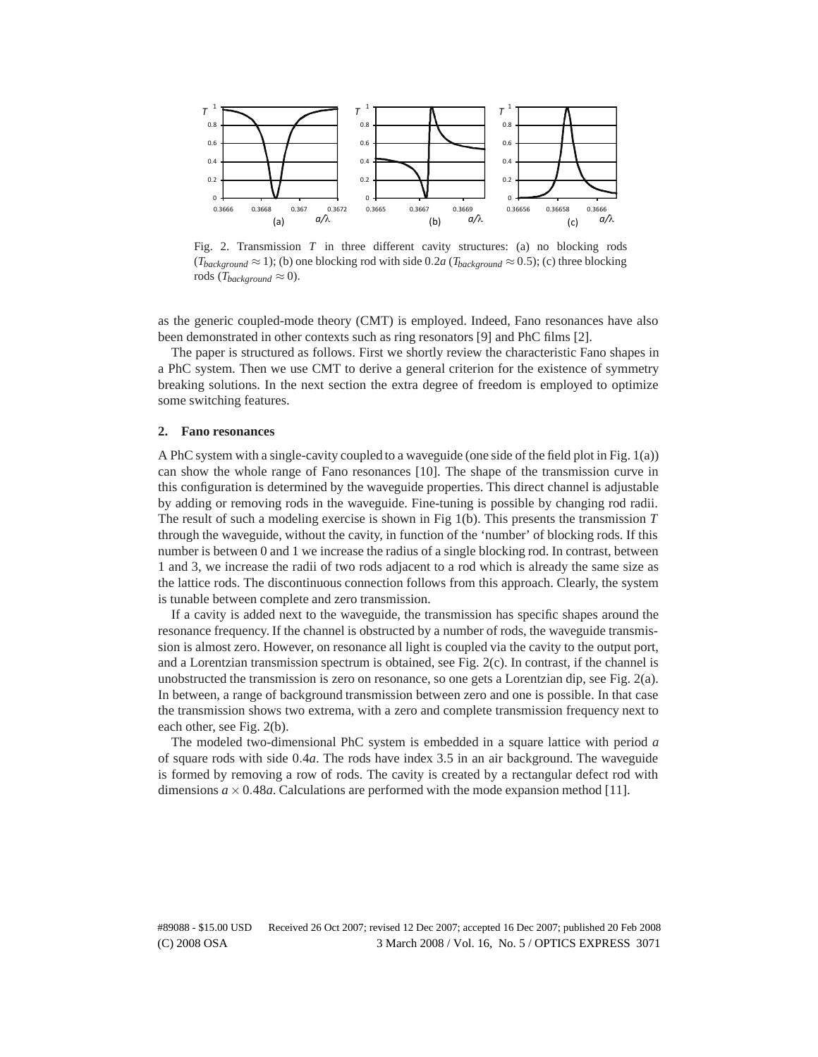

Fig. 2. Transmission *T* in three different cavity structures: (a) no blocking rods  $(T_{background} \approx 1)$ ; (b) one blocking rod with side 0.2*a* ( $T_{background} \approx 0.5$ ); (c) three blocking rods ( $T_{background} \approx 0$ ).

as the generic coupled-mode theory (CMT) is employed. Indeed, Fano resonances have also been demonstrated in other contexts such as ring resonators [9] and PhC films [2].

The paper is structured as follows. First we shortly review the characteristic Fano shapes in a PhC system. Then we use CMT to derive a general criterion for the existence of symmetry breaking solutions. In the next section the extra degree of freedom is employed to optimize some switching features.

# **2. Fano resonances**

A PhC system with a single-cavity coupled to a waveguide (one side of the field plot in Fig. 1(a)) can show the whole range of Fano resonances [10]. The shape of the transmission curve in this configuration is determined by the waveguide properties. This direct channel is adjustable by adding or removing rods in the waveguide. Fine-tuning is possible by changing rod radii. The result of such a modeling exercise is shown in Fig 1(b). This presents the transmission *T* through the waveguide, without the cavity, in function of the 'number' of blocking rods. If this number is between 0 and 1 we increase the radius of a single blocking rod. In contrast, between 1 and 3, we increase the radii of two rods adjacent to a rod which is already the same size as the lattice rods. The discontinuous connection follows from this approach. Clearly, the system is tunable between complete and zero transmission.

If a cavity is added next to the waveguide, the transmission has specific shapes around the resonance frequency. If the channel is obstructed by a number of rods, the waveguide transmission is almost zero. However, on resonance all light is coupled via the cavity to the output port, and a Lorentzian transmission spectrum is obtained, see Fig. 2(c). In contrast, if the channel is unobstructed the transmission is zero on resonance, so one gets a Lorentzian dip, see Fig. 2(a). In between, a range of background transmission between zero and one is possible. In that case the transmission shows two extrema, with a zero and complete transmission frequency next to each other, see Fig. 2(b).

The modeled two-dimensional PhC system is embedded in a square lattice with period *a* of square rods with side 0*.*4*a*. The rods have index 3.5 in an air background. The waveguide is formed by removing a row of rods. The cavity is created by a rectangular defect rod with dimensions  $a \times 0.48a$ . Calculations are performed with the mode expansion method [11].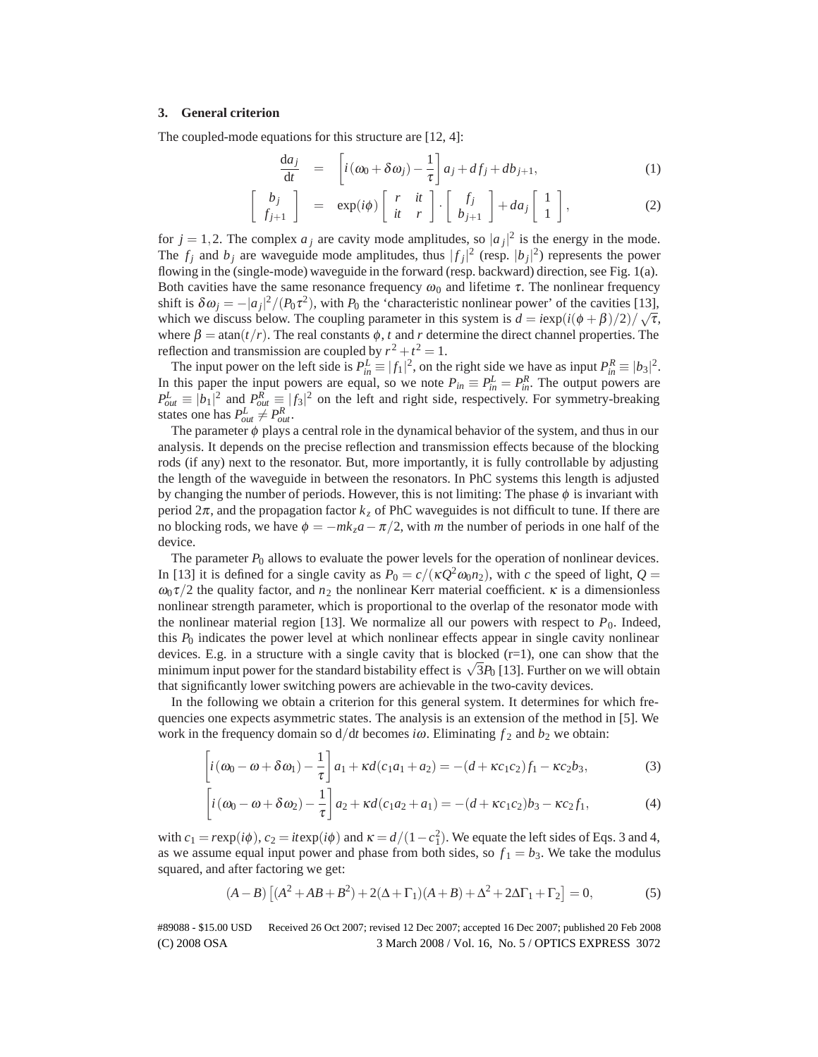# **3. General criterion**

The coupled-mode equations for this structure are [12, 4]:

$$
\frac{da_j}{dt} = \left[ i(\omega_0 + \delta \omega_j) - \frac{1}{\tau} \right] a_j + df_j + db_{j+1}, \tag{1}
$$

$$
\begin{bmatrix} b_j \\ f_{j+1} \end{bmatrix} = \exp(i\phi) \begin{bmatrix} r & it \\ it & r \end{bmatrix} \cdot \begin{bmatrix} f_j \\ b_{j+1} \end{bmatrix} + da_j \begin{bmatrix} 1 \\ 1 \end{bmatrix}, \tag{2}
$$

for  $j = 1, 2$ . The complex  $a_j$  are cavity mode amplitudes, so  $|a_j|^2$  is the energy in the mode. The  $f_j$  and  $b_j$  are waveguide mode amplitudes, thus  $|f_j|^2$  (resp.  $|b_j|^2$ ) represents the power flowing in the (single-mode) waveguide in the forward (resp. backward) direction, see Fig. 1(a). Both cavities have the same resonance frequency  $\omega_0$  and lifetime  $\tau$ . The nonlinear frequency shift is  $\delta \omega_j = -|a_j|^2 / (P_0 \tau^2)$ , with  $P_0$  the 'characteristic nonlinear power' of the cavities [13], which we discuss below. The coupling parameter in this system is  $d = i \exp(i(\phi + \beta)/2)/\sqrt{\tau}$ , where  $\beta = \tan(t/r)$ . The real constants  $\phi$ , *t* and *r* determine the direct channel properties. The reflection and transmission are coupled by  $r^2 + t^2 = 1$ .

The input power on the left side is  $P_{in}^L \equiv |f_1|^2$ , on the right side we have as input  $P_{in}^R \equiv |b_3|^2$ . In this paper the input powers are equal, so we note  $P_{in} \equiv P_{in}^L = P_{in}^R$ . The output powers are  $P_{out}^L \equiv |b_1|^2$  and  $P_{out}^R \equiv |f_3|^2$  on the left and right side, respectively. For symmetry-breaking states one has  $P_{out}^L \neq P_{out}^R$ .

The parameter  $\phi$  plays a central role in the dynamical behavior of the system, and thus in our analysis. It depends on the precise reflection and transmission effects because of the blocking rods (if any) next to the resonator. But, more importantly, it is fully controllable by adjusting the length of the waveguide in between the resonators. In PhC systems this length is adjusted by changing the number of periods. However, this is not limiting: The phase  $\phi$  is invariant with period  $2\pi$ , and the propagation factor  $k_z$  of PhC waveguides is not difficult to tune. If there are no blocking rods, we have  $\phi = -mk_7a - \pi/2$ , with *m* the number of periods in one half of the device.

The parameter  $P_0$  allows to evaluate the power levels for the operation of nonlinear devices. In [13] it is defined for a single cavity as  $P_0 = c/(\kappa Q^2 \omega_0 n_2)$ , with *c* the speed of light,  $Q =$  $\omega_0 \tau/2$  the quality factor, and  $n_2$  the nonlinear Kerr material coefficient.  $\kappa$  is a dimensionless nonlinear strength parameter, which is proportional to the overlap of the resonator mode with the nonlinear material region [13]. We normalize all our powers with respect to  $P_0$ . Indeed, this *P*<sup>0</sup> indicates the power level at which nonlinear effects appear in single cavity nonlinear devices. E.g. in a structure with a single cavity that is blocked  $(r=1)$ , one can show that the minimum input power for the standard bistability effect is  $\sqrt{3}P_0$  [13]. Further on we will obtain that significantly lower switching powers are achievable in the two-cavity devices.

In the following we obtain a criterion for this general system. It determines for which frequencies one expects asymmetric states. The analysis is an extension of the method in [5]. We work in the frequency domain so  $d/dt$  becomes *i* $\omega$ . Eliminating  $f_2$  and  $b_2$  we obtain:

$$
\left[i(\omega_0 - \omega + \delta \omega_1) - \frac{1}{\tau}\right]a_1 + \kappa d(c_1a_1 + a_2) = -(d + \kappa c_1c_2)f_1 - \kappa c_2b_3,
$$
\n(3)

$$
\left[i(\omega_0 - \omega + \delta \omega_2) - \frac{1}{\tau}\right]a_2 + \kappa d(c_1 a_2 + a_1) = -(d + \kappa c_1 c_2)b_3 - \kappa c_2 f_1,
$$
\n(4)

with  $c_1 = \text{rexp}(i\phi)$ ,  $c_2 = i\text{texp}(i\phi)$  and  $\kappa = d/(1-c_1^2)$ . We equate the left sides of Eqs. 3 and 4, as we assume equal input power and phase from both sides, so  $f_1 = b_3$ . We take the modulus squared, and after factoring we get:

$$
(A - B) [(A2 + AB + B2) + 2(\Delta + \Gamma_1)(A + B) + \Delta2 + 2\Delta\Gamma_1 + \Gamma_2] = 0,
$$
 (5)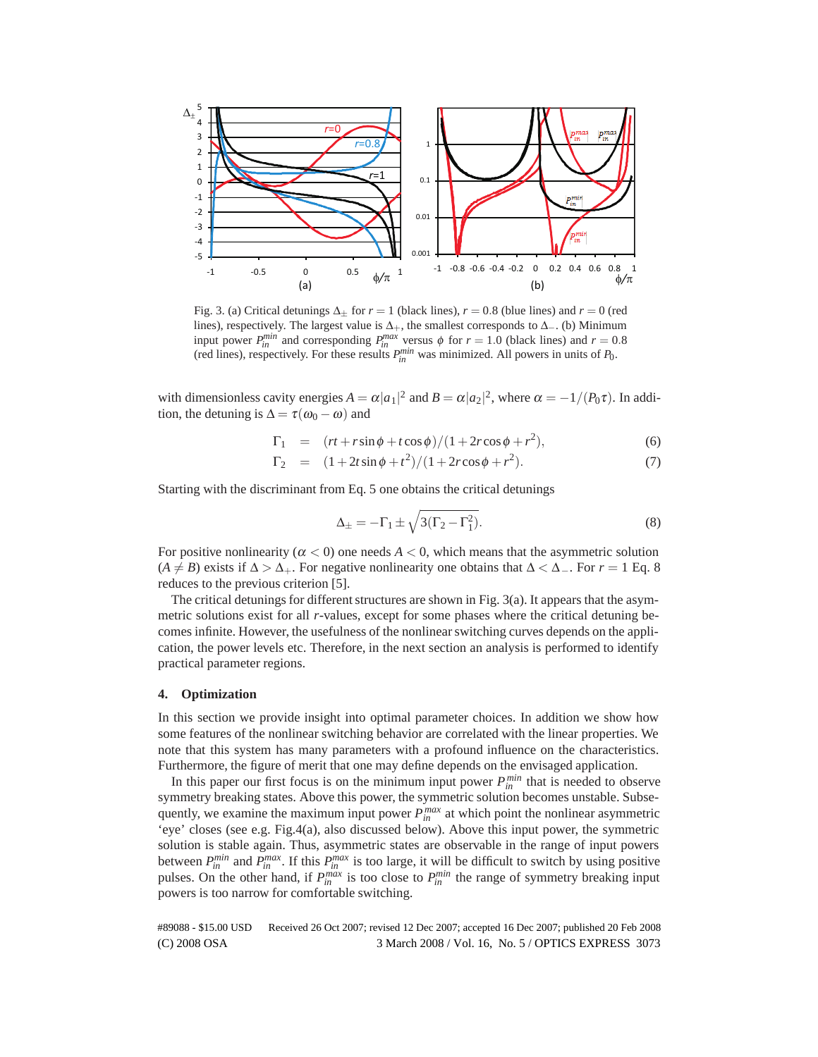

Fig. 3. (a) Critical detunings  $\Delta_+$  for  $r = 1$  (black lines),  $r = 0.8$  (blue lines) and  $r = 0$  (red lines), respectively. The largest value is  $\Delta_+$ , the smallest corresponds to  $\Delta_-$ . (b) Minimum input power  $P_{in}^{min}$  and corresponding  $P_{in}^{max}$  versus  $\phi$  for  $r = 1.0$  (black lines) and  $r = 0.8$ (red lines), respectively. For these results  $P_{in}^{min}$  was minimized. All powers in units of  $P_0$ .

with dimensionless cavity energies  $A = \alpha |a_1|^2$  and  $B = \alpha |a_2|^2$ , where  $\alpha = -1/(P_0 \tau)$ . In addition, the detuning is  $\Delta = \tau(\omega_0 - \omega)$  and

$$
\Gamma_1 = (rt + r\sin\phi + t\cos\phi)/(1 + 2r\cos\phi + r^2),\tag{6}
$$

$$
\Gamma_2 = (1 + 2t\sin\phi + t^2)/(1 + 2r\cos\phi + r^2). \tag{7}
$$

Starting with the discriminant from Eq. 5 one obtains the critical detunings

$$
\Delta_{\pm} = -\Gamma_1 \pm \sqrt{3(\Gamma_2 - \Gamma_1^2)}.
$$
\n(8)

For positive nonlinearity ( $\alpha$  < 0) one needs  $A$  < 0, which means that the asymmetric solution  $(A \neq B)$  exists if  $\Delta > \Delta_+$ . For negative nonlinearity one obtains that  $\Delta < \Delta_-$ . For  $r = 1$  Eq. 8 reduces to the previous criterion [5].

The critical detunings for different structures are shown in Fig. 3(a). It appears that the asymmetric solutions exist for all *r*-values, except for some phases where the critical detuning becomes infinite. However, the usefulness of the nonlinear switching curves depends on the application, the power levels etc. Therefore, in the next section an analysis is performed to identify practical parameter regions.

### **4. Optimization**

In this section we provide insight into optimal parameter choices. In addition we show how some features of the nonlinear switching behavior are correlated with the linear properties. We note that this system has many parameters with a profound influence on the characteristics. Furthermore, the figure of merit that one may define depends on the envisaged application.

In this paper our first focus is on the minimum input power  $P_{in}^{min}$  that is needed to observe symmetry breaking states. Above this power, the symmetric solution becomes unstable. Subsequently, we examine the maximum input power  $P_{in}^{max}$  at which point the nonlinear asymmetric 'eye' closes (see e.g. Fig.4(a), also discussed below). Above this input power, the symmetric solution is stable again. Thus, asymmetric states are observable in the range of input powers between  $P_{in}^{min}$  and  $P_{in}^{max}$ . If this  $P_{in}^{max}$  is too large, it will be difficult to switch by using positive pulses. On the other hand, if  $P_{in}^{max}$  is too close to  $P_{in}^{min}$  the range of symmetry breaking input powers is too narrow for comfortable switching.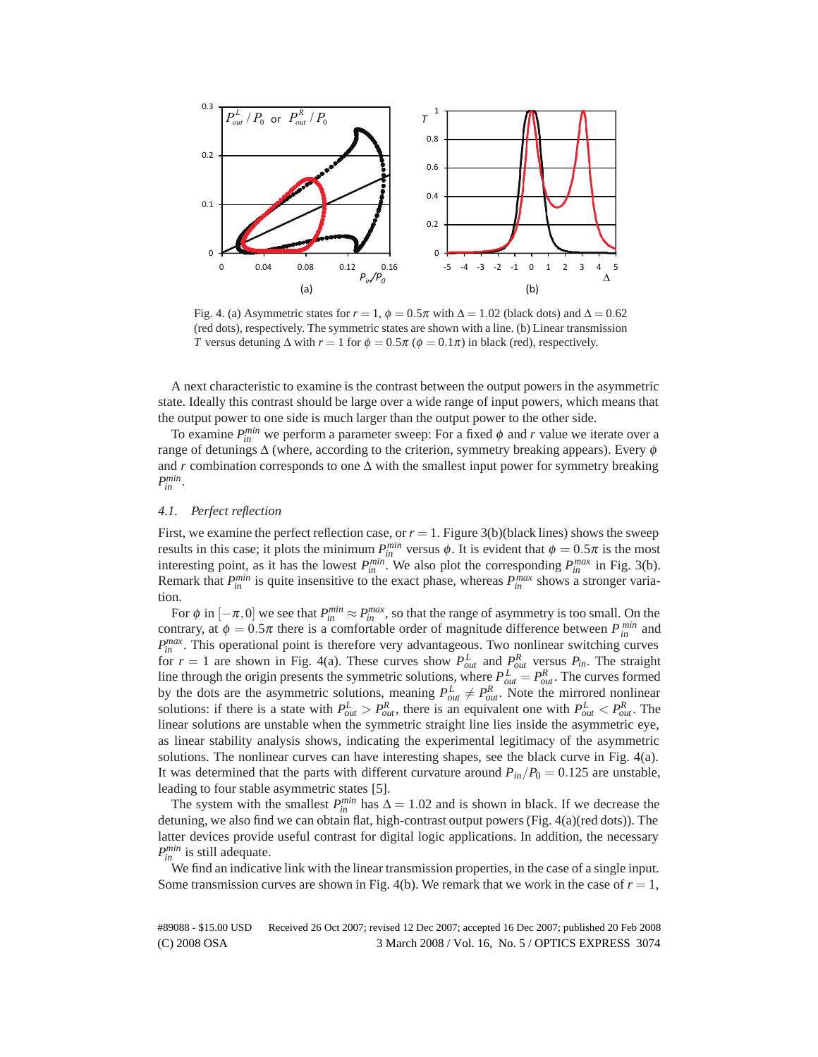

Fig. 4. (a) Asymmetric states for  $r = 1$ ,  $\phi = 0.5\pi$  with  $\Delta = 1.02$  (black dots) and  $\Delta = 0.62$ (red dots), respectively. The symmetric states are shown with a line. (b) Linear transmission *T* versus detuning  $\Delta$  with  $r = 1$  for  $\phi = 0.5\pi$  ( $\phi = 0.1\pi$ ) in black (red), respectively.

A next characteristic to examine is the contrast between the output powers in the asymmetric state. Ideally this contrast should be large over a wide range of input powers, which means that the output power to one side is much larger than the output power to the other side.

To examine  $P_{in}^{min}$  we perform a parameter sweep: For a fixed  $\phi$  and  $r$  value we iterate over a range of detunings  $\Delta$  (where, according to the criterion, symmetry breaking appears). Every  $\phi$ and  $r$  combination corresponds to one  $\Delta$  with the smallest input power for symmetry breaking *Pmin in* .

# *4.1. Perfect reflection*

First, we examine the perfect reflection case, or  $r = 1$ . Figure 3(b)(black lines) shows the sweep results in this case; it plots the minimum  $P_{in}^{min}$  versus  $\phi$ . It is evident that  $\phi = 0.5\pi$  is the most interesting point, as it has the lowest  $P_{in}^{min}$ . We also plot the corresponding  $P_{in}^{max}$  in Fig. 3(b). Remark that  $P_{in}^{min}$  is quite insensitive to the exact phase, whereas  $P_{in}^{max}$  shows a stronger variation.

For  $\phi$  in  $[-\pi, 0]$  we see that  $P_{in}^{min} \approx P_{in}^{max}$ , so that the range of asymmetry is too small. On the contrary, at  $\phi = 0.5\pi$  there is a comfortable order of magnitude difference between  $P_{in}^{min}$  and  $P_{in}^{max}$ . This operational point is therefore very advantageous. Two nonlinear switching curves for  $r = 1$  are shown in Fig. 4(a). These curves show  $P_{out}^L$  and  $P_{out}^R$  versus  $P_{in}$ . The straight line through the origin presents the symmetric solutions, where  $P_{out}^L = P_{out}^R$ . The curves formed by the dots are the asymmetric solutions, meaning  $P_{out}^L \neq P_{out}^R$ . Note the mirrored nonlinear solutions: if there is a state with  $P_{out}^L > P_{out}^R$ , there is an equivalent one with  $P_{out}^L < P_{out}^R$ . The linear solutions are unstable when the symmetric straight line lies inside the asymmetric eye, as linear stability analysis shows, indicating the experimental legitimacy of the asymmetric solutions. The nonlinear curves can have interesting shapes, see the black curve in Fig. 4(a). It was determined that the parts with different curvature around  $P_{in}/P_0 = 0.125$  are unstable, leading to four stable asymmetric states [5].

The system with the smallest  $P_{in}^{min}$  has  $\Delta = 1.02$  and is shown in black. If we decrease the detuning, we also find we can obtain flat, high-contrast output powers (Fig. 4(a)(red dots)). The latter devices provide useful contrast for digital logic applications. In addition, the necessary *Pmin in* is still adequate.

We find an indicative link with the linear transmission properties, in the case of a single input. Some transmission curves are shown in Fig. 4(b). We remark that we work in the case of  $r = 1$ ,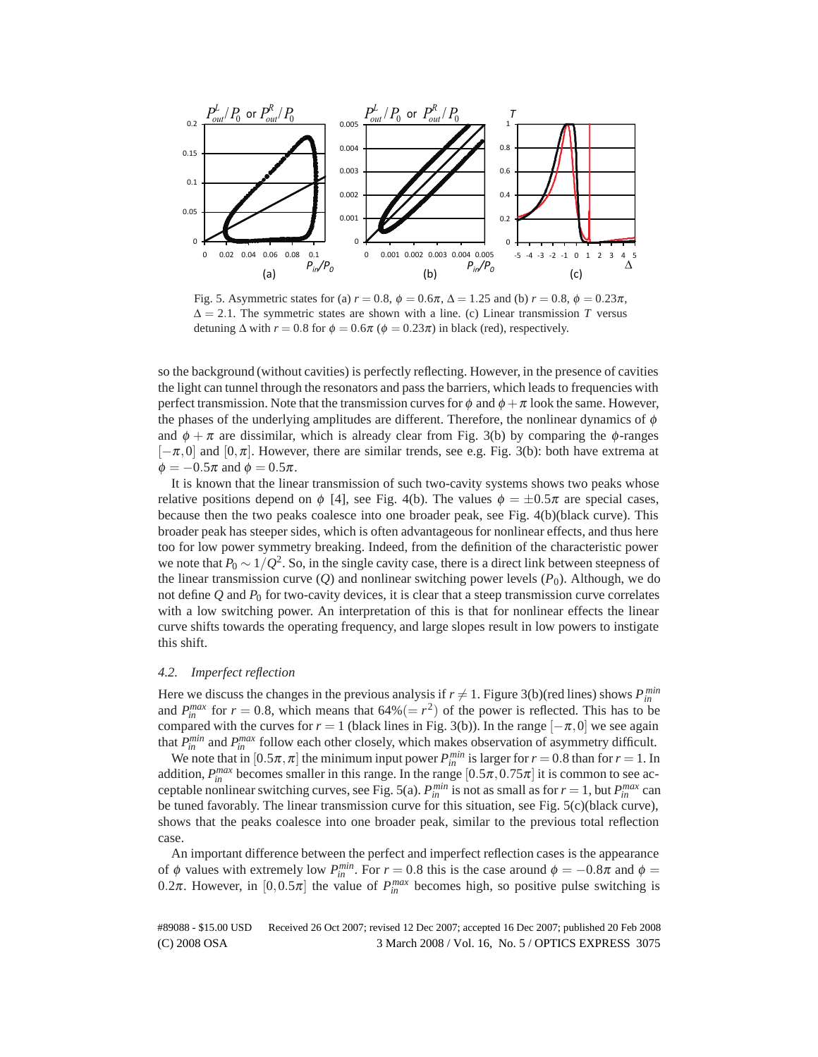

Fig. 5. Asymmetric states for (a)  $r = 0.8$ ,  $\phi = 0.6\pi$ ,  $\Delta = 1.25$  and (b)  $r = 0.8$ ,  $\phi = 0.23\pi$ ,  $\Delta = 2.1$ . The symmetric states are shown with a line. (c) Linear transmission *T* versus detuning  $\Delta$  with  $r = 0.8$  for  $\phi = 0.6\pi$  ( $\phi = 0.23\pi$ ) in black (red), respectively.

so the background (without cavities) is perfectly reflecting. However, in the presence of cavities the light can tunnel through the resonators and pass the barriers, which leads to frequencies with perfect transmission. Note that the transmission curves for  $\phi$  and  $\phi + \pi$  look the same. However, the phases of the underlying amplitudes are different. Therefore, the nonlinear dynamics of  $\phi$ and  $\phi + \pi$  are dissimilar, which is already clear from Fig. 3(b) by comparing the  $\phi$ -ranges  $[-\pi,0]$  and  $[0,\pi]$ . However, there are similar trends, see e.g. Fig. 3(b): both have extrema at  $\phi = -0.5\pi$  and  $\phi = 0.5\pi$ .

It is known that the linear transmission of such two-cavity systems shows two peaks whose relative positions depend on  $\phi$  [4], see Fig. 4(b). The values  $\phi = \pm 0.5\pi$  are special cases, because then the two peaks coalesce into one broader peak, see Fig. 4(b)(black curve). This broader peak has steeper sides, which is often advantageous for nonlinear effects, and thus here too for low power symmetry breaking. Indeed, from the definition of the characteristic power we note that  $P_0 \sim 1/Q^2$ . So, in the single cavity case, there is a direct link between steepness of the linear transmission curve  $(Q)$  and nonlinear switching power levels  $(P_0)$ . Although, we do not define  $Q$  and  $P_0$  for two-cavity devices, it is clear that a steep transmission curve correlates with a low switching power. An interpretation of this is that for nonlinear effects the linear curve shifts towards the operating frequency, and large slopes result in low powers to instigate this shift.

#### *4.2. Imperfect reflection*

Here we discuss the changes in the previous analysis if  $r \neq 1$ . Figure 3(b)(red lines) shows  $P_{in}^{min}$ and  $P_{in}^{max}$  for  $r = 0.8$ , which means that  $64\% (= r^2)$  of the power is reflected. This has to be compared with the curves for  $r = 1$  (black lines in Fig. 3(b)). In the range  $[-\pi, 0]$  we see again that  $P_{in}^{min}$  and  $P_{in}^{max}$  follow each other closely, which makes observation of asymmetry difficult.

We note that in  $[0.5\pi, \pi]$  the minimum input power  $P_{in}^{min}$  is larger for  $r = 0.8$  than for  $r = 1$ . In addition,  $P_{in}^{max}$  becomes smaller in this range. In the range  $[0.5\pi, 0.75\pi]$  it is common to see acceptable nonlinear switching curves, see Fig. 5(a).  $P_{in}^{min}$  is not as small as for  $r = 1$ , but  $P_{in}^{max}$  can be tuned favorably. The linear transmission curve for this situation, see Fig. 5(c)(black curve), shows that the peaks coalesce into one broader peak, similar to the previous total reflection case.

An important difference between the perfect and imperfect reflection cases is the appearance of  $\phi$  values with extremely low  $P_{in}^{min}$ . For  $r = 0.8$  this is the case around  $\phi = -0.8\pi$  and  $\phi =$ 0.2 $\pi$ . However, in [0,0.5 $\pi$ ] the value of  $P_{in}^{max}$  becomes high, so positive pulse switching is